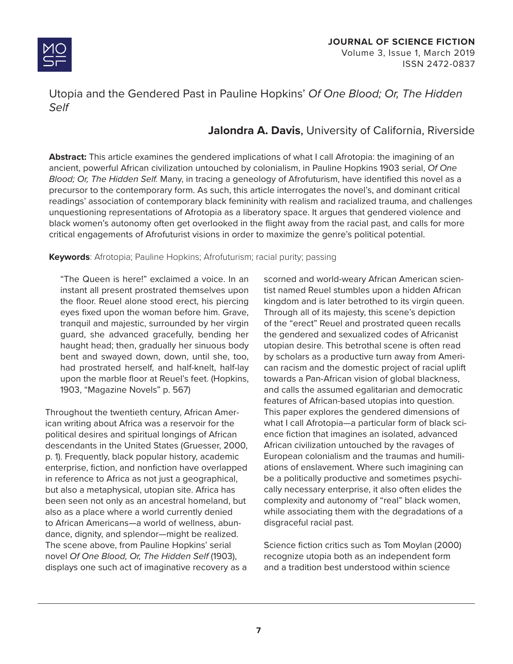

## Utopia and the Gendered Past in Pauline Hopkins' *Of One Blood; Or, The Hidden Self*

# **Jalondra A. Davis**, University of California, Riverside

**Abstract:** This article examines the gendered implications of what I call Afrotopia: the imagining of an ancient, powerful African civilization untouched by colonialism, in Pauline Hopkins 1903 serial, *Of One Blood; Or, The Hidden Self.* Many, in tracing a geneology of Afrofuturism, have identified this novel as a precursor to the contemporary form. As such, this article interrogates the novel's, and dominant critical readings' association of contemporary black femininity with realism and racialized trauma, and challenges unquestioning representations of Afrotopia as a liberatory space. It argues that gendered violence and black women's autonomy often get overlooked in the flight away from the racial past, and calls for more critical engagements of Afrofuturist visions in order to maximize the genre's political potential.

#### **Keywords**: Afrotopia; Pauline Hopkins; Afrofuturism; racial purity; passing

"The Queen is here!" exclaimed a voice. In an instant all present prostrated themselves upon the floor. Reuel alone stood erect, his piercing eyes fixed upon the woman before him. Grave, tranquil and majestic, surrounded by her virgin guard, she advanced gracefully, bending her haught head; then, gradually her sinuous body bent and swayed down, down, until she, too, had prostrated herself, and half-knelt, half-lay upon the marble floor at Reuel's feet. (Hopkins, 1903, "Magazine Novels" p. 567)

Throughout the twentieth century, African American writing about Africa was a reservoir for the political desires and spiritual longings of African descendants in the United States (Gruesser, 2000, p. 1). Frequently, black popular history, academic enterprise, fiction, and nonfiction have overlapped in reference to Africa as not just a geographical, but also a metaphysical, utopian site. Africa has been seen not only as an ancestral homeland, but also as a place where a world currently denied to African Americans—a world of wellness, abundance, dignity, and splendor—might be realized. The scene above, from Pauline Hopkins' serial novel *Of One Blood, Or, The Hidden Self* (1903), displays one such act of imaginative recovery as a

scorned and world-weary African American scientist named Reuel stumbles upon a hidden African kingdom and is later betrothed to its virgin queen. Through all of its majesty, this scene's depiction of the "erect" Reuel and prostrated queen recalls the gendered and sexualized codes of Africanist utopian desire. This betrothal scene is often read by scholars as a productive turn away from American racism and the domestic project of racial uplift towards a Pan-African vision of global blackness, and calls the assumed egalitarian and democratic features of African-based utopias into question. This paper explores the gendered dimensions of what I call Afrotopia—a particular form of black science fiction that imagines an isolated, advanced African civilization untouched by the ravages of European colonialism and the traumas and humiliations of enslavement. Where such imagining can be a politically productive and sometimes psychically necessary enterprise, it also often elides the complexity and autonomy of "real" black women, while associating them with the degradations of a disgraceful racial past.

Science fiction critics such as Tom Moylan (2000) recognize utopia both as an independent form and a tradition best understood within science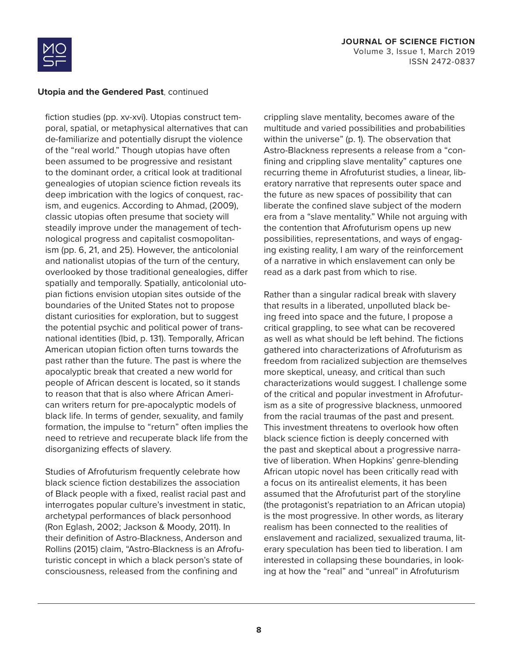

fiction studies (pp. xv-xvi). Utopias construct temporal, spatial, or metaphysical alternatives that can de-familiarize and potentially disrupt the violence of the "real world." Though utopias have often been assumed to be progressive and resistant to the dominant order, a critical look at traditional genealogies of utopian science fiction reveals its deep imbrication with the logics of conquest, racism, and eugenics. According to Ahmad, (2009), classic utopias often presume that society will steadily improve under the management of technological progress and capitalist cosmopolitanism (pp. 6, 21, and 25). However, the anticolonial and nationalist utopias of the turn of the century, overlooked by those traditional genealogies, differ spatially and temporally. Spatially, anticolonial utopian fictions envision utopian sites outside of the boundaries of the United States not to propose distant curiosities for exploration, but to suggest the potential psychic and political power of transnational identities (Ibid, p. 131). Temporally, African American utopian fiction often turns towards the past rather than the future. The past is where the apocalyptic break that created a new world for people of African descent is located, so it stands to reason that that is also where African American writers return for pre-apocalyptic models of black life. In terms of gender, sexuality, and family formation, the impulse to "return" often implies the need to retrieve and recuperate black life from the disorganizing effects of slavery.

Studies of Afrofuturism frequently celebrate how black science fiction destabilizes the association of Black people with a fixed, realist racial past and interrogates popular culture's investment in static, archetypal performances of black personhood (Ron Eglash, 2002; Jackson & Moody, 2011). In their definition of Astro-Blackness, Anderson and Rollins (2015) claim, "Astro-Blackness is an Afrofuturistic concept in which a black person's state of consciousness, released from the confining and

crippling slave mentality, becomes aware of the multitude and varied possibilities and probabilities within the universe" (p. 1). The observation that Astro-Blackness represents a release from a "confining and crippling slave mentality" captures one recurring theme in Afrofuturist studies, a linear, liberatory narrative that represents outer space and the future as new spaces of possibility that can liberate the confined slave subject of the modern era from a "slave mentality." While not arguing with the contention that Afrofuturism opens up new possibilities, representations, and ways of engaging existing reality, I am wary of the reinforcement of a narrative in which enslavement can only be read as a dark past from which to rise.

Rather than a singular radical break with slavery that results in a liberated, unpolluted black being freed into space and the future, I propose a critical grappling, to see what can be recovered as well as what should be left behind. The fictions gathered into characterizations of Afrofuturism as freedom from racialized subjection are themselves more skeptical, uneasy, and critical than such characterizations would suggest. I challenge some of the critical and popular investment in Afrofuturism as a site of progressive blackness, unmoored from the racial traumas of the past and present. This investment threatens to overlook how often black science fiction is deeply concerned with the past and skeptical about a progressive narrative of liberation. When Hopkins' genre-blending African utopic novel has been critically read with a focus on its antirealist elements, it has been assumed that the Afrofuturist part of the storyline (the protagonist's repatriation to an African utopia) is the most progressive. In other words, as literary realism has been connected to the realities of enslavement and racialized, sexualized trauma, literary speculation has been tied to liberation. I am interested in collapsing these boundaries, in looking at how the "real" and "unreal" in Afrofuturism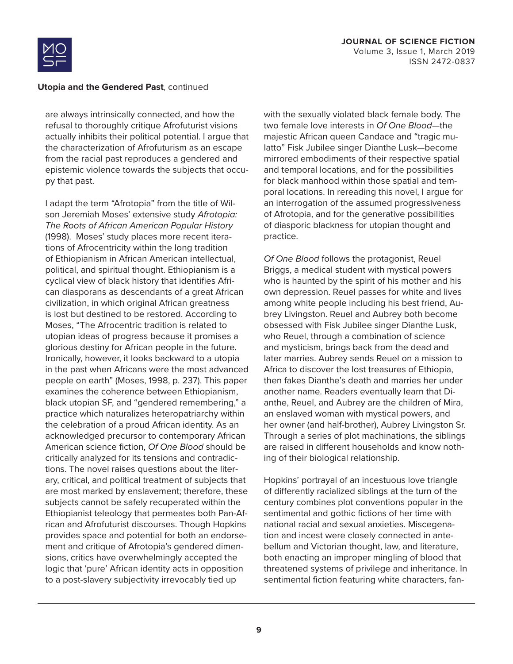

are always intrinsically connected, and how the refusal to thoroughly critique Afrofuturist visions actually inhibits their political potential. I argue that the characterization of Afrofuturism as an escape from the racial past reproduces a gendered and epistemic violence towards the subjects that occupy that past.

I adapt the term "Afrotopia" from the title of Wilson Jeremiah Moses' extensive study *Afrotopia: The Roots of African American Popular History*  (1998). Moses' study places more recent iterations of Afrocentricity within the long tradition of Ethiopianism in African American intellectual, political, and spiritual thought. Ethiopianism is a cyclical view of black history that identifies African diasporans as descendants of a great African civilization, in which original African greatness is lost but destined to be restored. According to Moses, "The Afrocentric tradition is related to utopian ideas of progress because it promises a glorious destiny for African people in the future. Ironically, however, it looks backward to a utopia in the past when Africans were the most advanced people on earth" (Moses, 1998, p. 237). This paper examines the coherence between Ethiopianism, black utopian SF, and "gendered remembering," a practice which naturalizes heteropatriarchy within the celebration of a proud African identity. As an acknowledged precursor to contemporary African American science fiction, *Of One Blood* should be critically analyzed for its tensions and contradictions. The novel raises questions about the literary, critical, and political treatment of subjects that are most marked by enslavement; therefore, these subjects cannot be safely recuperated within the Ethiopianist teleology that permeates both Pan-African and Afrofuturist discourses. Though Hopkins provides space and potential for both an endorsement and critique of Afrotopia's gendered dimensions, critics have overwhelmingly accepted the logic that 'pure' African identity acts in opposition to a post-slavery subjectivity irrevocably tied up

with the sexually violated black female body. The two female love interests in *Of One Blood*—the majestic African queen Candace and "tragic mulatto" Fisk Jubilee singer Dianthe Lusk—become mirrored embodiments of their respective spatial and temporal locations, and for the possibilities for black manhood within those spatial and temporal locations. In rereading this novel, I argue for an interrogation of the assumed progressiveness of Afrotopia, and for the generative possibilities of diasporic blackness for utopian thought and practice.

*Of One Blood* follows the protagonist, Reuel Briggs, a medical student with mystical powers who is haunted by the spirit of his mother and his own depression. Reuel passes for white and lives among white people including his best friend, Aubrey Livingston. Reuel and Aubrey both become obsessed with Fisk Jubilee singer Dianthe Lusk, who Reuel, through a combination of science and mysticism, brings back from the dead and later marries. Aubrey sends Reuel on a mission to Africa to discover the lost treasures of Ethiopia, then fakes Dianthe's death and marries her under another name. Readers eventually learn that Dianthe, Reuel, and Aubrey are the children of Mira, an enslaved woman with mystical powers, and her owner (and half-brother), Aubrey Livingston Sr. Through a series of plot machinations, the siblings are raised in different households and know nothing of their biological relationship.

Hopkins' portrayal of an incestuous love triangle of differently racialized siblings at the turn of the century combines plot conventions popular in the sentimental and gothic fictions of her time with national racial and sexual anxieties. Miscegenation and incest were closely connected in antebellum and Victorian thought, law, and literature, both enacting an improper mingling of blood that threatened systems of privilege and inheritance. In sentimental fiction featuring white characters, fan-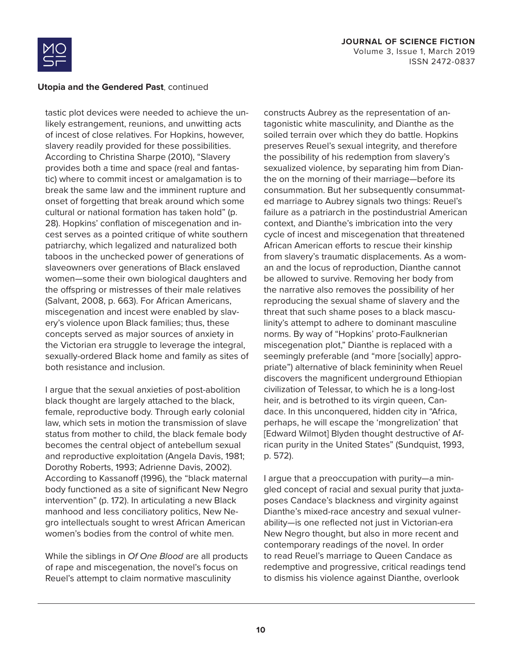

tastic plot devices were needed to achieve the unlikely estrangement, reunions, and unwitting acts of incest of close relatives. For Hopkins, however, slavery readily provided for these possibilities. According to Christina Sharpe (2010), "Slavery provides both a time and space (real and fantastic) where to commit incest or amalgamation is to break the same law and the imminent rupture and onset of forgetting that break around which some cultural or national formation has taken hold" (p. 28). Hopkins' conflation of miscegenation and incest serves as a pointed critique of white southern patriarchy, which legalized and naturalized both taboos in the unchecked power of generations of slaveowners over generations of Black enslaved women—some their own biological daughters and the offspring or mistresses of their male relatives (Salvant, 2008, p. 663). For African Americans, miscegenation and incest were enabled by slavery's violence upon Black families; thus, these concepts served as major sources of anxiety in the Victorian era struggle to leverage the integral, sexually-ordered Black home and family as sites of both resistance and inclusion.

I argue that the sexual anxieties of post-abolition black thought are largely attached to the black, female, reproductive body. Through early colonial law, which sets in motion the transmission of slave status from mother to child, the black female body becomes the central object of antebellum sexual and reproductive exploitation (Angela Davis, 1981; Dorothy Roberts, 1993; Adrienne Davis, 2002). According to Kassanoff (1996), the "black maternal body functioned as a site of significant New Negro intervention" (p. 172). In articulating a new Black manhood and less conciliatory politics, New Negro intellectuals sought to wrest African American women's bodies from the control of white men.

While the siblings in *Of One Blood* are all products of rape and miscegenation, the novel's focus on Reuel's attempt to claim normative masculinity

constructs Aubrey as the representation of antagonistic white masculinity, and Dianthe as the soiled terrain over which they do battle. Hopkins preserves Reuel's sexual integrity, and therefore the possibility of his redemption from slavery's sexualized violence, by separating him from Dianthe on the morning of their marriage—before its consummation. But her subsequently consummated marriage to Aubrey signals two things: Reuel's failure as a patriarch in the postindustrial American context, and Dianthe's imbrication into the very cycle of incest and miscegenation that threatened African American efforts to rescue their kinship from slavery's traumatic displacements. As a woman and the locus of reproduction, Dianthe cannot be allowed to survive. Removing her body from the narrative also removes the possibility of her reproducing the sexual shame of slavery and the threat that such shame poses to a black masculinity's attempt to adhere to dominant masculine norms. By way of "Hopkins' proto-Faulknerian miscegenation plot," Dianthe is replaced with a seemingly preferable (and "more [socially] appropriate") alternative of black femininity when Reuel discovers the magnificent underground Ethiopian civilization of Telessar, to which he is a long-lost heir, and is betrothed to its virgin queen, Candace. In this unconquered, hidden city in "Africa, perhaps, he will escape the 'mongrelization' that [Edward Wilmot] Blyden thought destructive of African purity in the United States" (Sundquist, 1993, p. 572).

I argue that a preoccupation with purity—a mingled concept of racial and sexual purity that juxtaposes Candace's blackness and virginity against Dianthe's mixed-race ancestry and sexual vulnerability—is one reflected not just in Victorian-era New Negro thought, but also in more recent and contemporary readings of the novel. In order to read Reuel's marriage to Queen Candace as redemptive and progressive, critical readings tend to dismiss his violence against Dianthe, overlook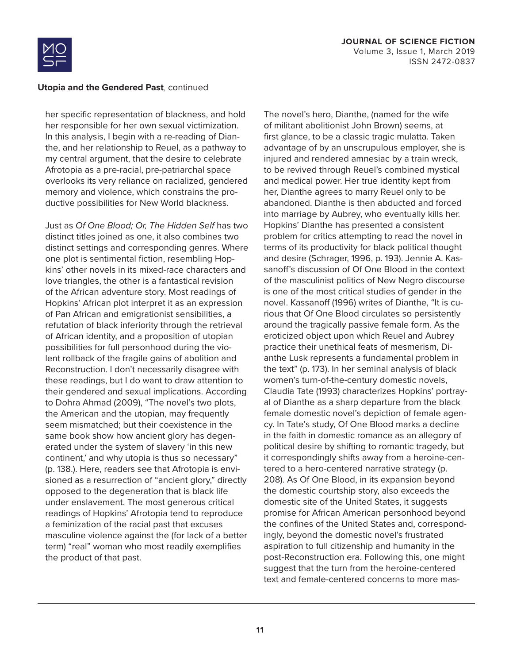

her specific representation of blackness, and hold her responsible for her own sexual victimization. In this analysis, I begin with a re-reading of Dianthe, and her relationship to Reuel, as a pathway to my central argument, that the desire to celebrate Afrotopia as a pre-racial, pre-patriarchal space overlooks its very reliance on racialized, gendered memory and violence, which constrains the productive possibilities for New World blackness.

Just as *Of One Blood; Or, The Hidden Self* has two distinct titles joined as one, it also combines two distinct settings and corresponding genres. Where one plot is sentimental fiction, resembling Hopkins' other novels in its mixed-race characters and love triangles, the other is a fantastical revision of the African adventure story. Most readings of Hopkins' African plot interpret it as an expression of Pan African and emigrationist sensibilities, a refutation of black inferiority through the retrieval of African identity, and a proposition of utopian possibilities for full personhood during the violent rollback of the fragile gains of abolition and Reconstruction. I don't necessarily disagree with these readings, but I do want to draw attention to their gendered and sexual implications. According to Dohra Ahmad (2009), "The novel's two plots, the American and the utopian, may frequently seem mismatched; but their coexistence in the same book show how ancient glory has degenerated under the system of slavery 'in this new continent,' and why utopia is thus so necessary" (p. 138.). Here, readers see that Afrotopia is envisioned as a resurrection of "ancient glory," directly opposed to the degeneration that is black life under enslavement. The most generous critical readings of Hopkins' Afrotopia tend to reproduce a feminization of the racial past that excuses masculine violence against the (for lack of a better term) "real" woman who most readily exemplifies the product of that past.

The novel's hero, Dianthe, (named for the wife of militant abolitionist John Brown) seems, at first glance, to be a classic tragic mulatta. Taken advantage of by an unscrupulous employer, she is injured and rendered amnesiac by a train wreck, to be revived through Reuel's combined mystical and medical power. Her true identity kept from her, Dianthe agrees to marry Reuel only to be abandoned. Dianthe is then abducted and forced into marriage by Aubrey, who eventually kills her. Hopkins' Dianthe has presented a consistent problem for critics attempting to read the novel in terms of its productivity for black political thought and desire (Schrager, 1996, p. 193). Jennie A. Kassanoff's discussion of Of One Blood in the context of the masculinist politics of New Negro discourse is one of the most critical studies of gender in the novel. Kassanoff (1996) writes of Dianthe, "It is curious that Of One Blood circulates so persistently around the tragically passive female form. As the eroticized object upon which Reuel and Aubrey practice their unethical feats of mesmerism, Dianthe Lusk represents a fundamental problem in the text" (p. 173). In her seminal analysis of black women's turn-of-the-century domestic novels, Claudia Tate (1993) characterizes Hopkins' portrayal of Dianthe as a sharp departure from the black female domestic novel's depiction of female agency. In Tate's study, Of One Blood marks a decline in the faith in domestic romance as an allegory of political desire by shifting to romantic tragedy, but it correspondingly shifts away from a heroine-centered to a hero-centered narrative strategy (p. 208). As Of One Blood, in its expansion beyond the domestic courtship story, also exceeds the domestic site of the United States, it suggests promise for African American personhood beyond the confines of the United States and, correspondingly, beyond the domestic novel's frustrated aspiration to full citizenship and humanity in the post-Reconstruction era. Following this, one might suggest that the turn from the heroine-centered text and female-centered concerns to more mas-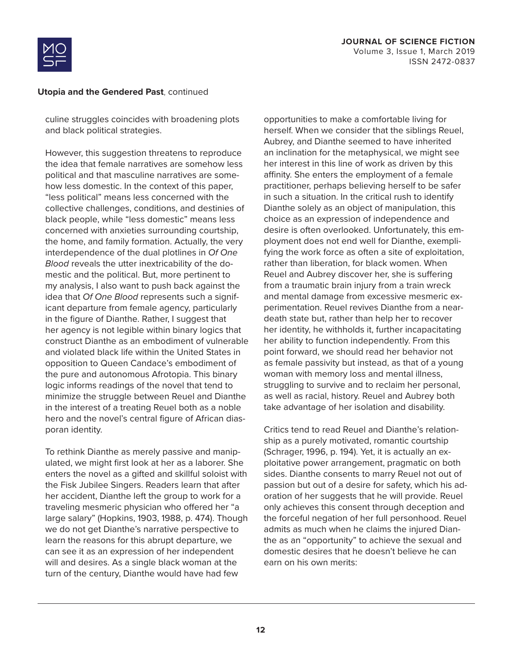

culine struggles coincides with broadening plots and black political strategies.

However, this suggestion threatens to reproduce the idea that female narratives are somehow less political and that masculine narratives are somehow less domestic. In the context of this paper, "less political" means less concerned with the collective challenges, conditions, and destinies of black people, while "less domestic" means less concerned with anxieties surrounding courtship, the home, and family formation. Actually, the very interdependence of the dual plotlines in *Of One Blood* reveals the utter inextricability of the domestic and the political. But, more pertinent to my analysis, I also want to push back against the idea that *Of One Blood* represents such a significant departure from female agency, particularly in the figure of Dianthe. Rather, I suggest that her agency is not legible within binary logics that construct Dianthe as an embodiment of vulnerable and violated black life within the United States in opposition to Queen Candace's embodiment of the pure and autonomous Afrotopia. This binary logic informs readings of the novel that tend to minimize the struggle between Reuel and Dianthe in the interest of a treating Reuel both as a noble hero and the novel's central figure of African diasporan identity.

To rethink Dianthe as merely passive and manipulated, we might first look at her as a laborer. She enters the novel as a gifted and skillful soloist with the Fisk Jubilee Singers. Readers learn that after her accident, Dianthe left the group to work for a traveling mesmeric physician who offered her "a large salary" (Hopkins, 1903, 1988, p. 474). Though we do not get Dianthe's narrative perspective to learn the reasons for this abrupt departure, we can see it as an expression of her independent will and desires. As a single black woman at the turn of the century, Dianthe would have had few

opportunities to make a comfortable living for herself. When we consider that the siblings Reuel, Aubrey, and Dianthe seemed to have inherited an inclination for the metaphysical, we might see her interest in this line of work as driven by this affinity. She enters the employment of a female practitioner, perhaps believing herself to be safer in such a situation. In the critical rush to identify Dianthe solely as an object of manipulation, this choice as an expression of independence and desire is often overlooked. Unfortunately, this employment does not end well for Dianthe, exemplifying the work force as often a site of exploitation, rather than liberation, for black women. When Reuel and Aubrey discover her, she is suffering from a traumatic brain injury from a train wreck and mental damage from excessive mesmeric experimentation. Reuel revives Dianthe from a neardeath state but, rather than help her to recover her identity, he withholds it, further incapacitating her ability to function independently. From this point forward, we should read her behavior not as female passivity but instead, as that of a young woman with memory loss and mental illness, struggling to survive and to reclaim her personal, as well as racial, history. Reuel and Aubrey both take advantage of her isolation and disability.

Critics tend to read Reuel and Dianthe's relationship as a purely motivated, romantic courtship (Schrager, 1996, p. 194). Yet, it is actually an exploitative power arrangement, pragmatic on both sides. Dianthe consents to marry Reuel not out of passion but out of a desire for safety, which his adoration of her suggests that he will provide. Reuel only achieves this consent through deception and the forceful negation of her full personhood. Reuel admits as much when he claims the injured Dianthe as an "opportunity" to achieve the sexual and domestic desires that he doesn't believe he can earn on his own merits: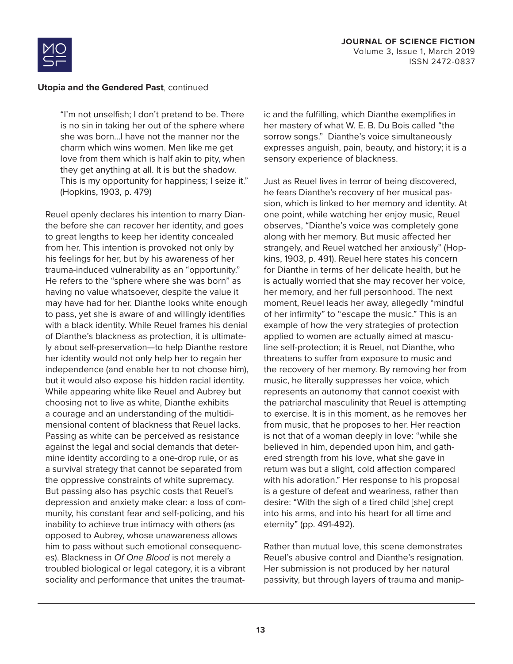

"I'm not unselfish; I don't pretend to be. There is no sin in taking her out of the sphere where she was born…I have not the manner nor the charm which wins women. Men like me get love from them which is half akin to pity, when they get anything at all. It is but the shadow. This is my opportunity for happiness; I seize it." (Hopkins, 1903, p. 479)

Reuel openly declares his intention to marry Dianthe before she can recover her identity, and goes to great lengths to keep her identity concealed from her. This intention is provoked not only by his feelings for her, but by his awareness of her trauma-induced vulnerability as an "opportunity." He refers to the "sphere where she was born" as having no value whatsoever, despite the value it may have had for her. Dianthe looks white enough to pass, yet she is aware of and willingly identifies with a black identity. While Reuel frames his denial of Dianthe's blackness as protection, it is ultimately about self-preservation—to help Dianthe restore her identity would not only help her to regain her independence (and enable her to not choose him), but it would also expose his hidden racial identity. While appearing white like Reuel and Aubrey but choosing not to live as white, Dianthe exhibits a courage and an understanding of the multidimensional content of blackness that Reuel lacks. Passing as white can be perceived as resistance against the legal and social demands that determine identity according to a one-drop rule, or as a survival strategy that cannot be separated from the oppressive constraints of white supremacy. But passing also has psychic costs that Reuel's depression and anxiety make clear: a loss of community, his constant fear and self-policing, and his inability to achieve true intimacy with others (as opposed to Aubrey, whose unawareness allows him to pass without such emotional consequences). Blackness in *Of One Blood* is not merely a troubled biological or legal category, it is a vibrant sociality and performance that unites the traumatic and the fulfilling, which Dianthe exemplifies in her mastery of what W. E. B. Du Bois called "the sorrow songs." Dianthe's voice simultaneously expresses anguish, pain, beauty, and history; it is a sensory experience of blackness.

Just as Reuel lives in terror of being discovered, he fears Dianthe's recovery of her musical passion, which is linked to her memory and identity. At one point, while watching her enjoy music, Reuel observes, "Dianthe's voice was completely gone along with her memory. But music affected her strangely, and Reuel watched her anxiously" (Hopkins, 1903, p. 491). Reuel here states his concern for Dianthe in terms of her delicate health, but he is actually worried that she may recover her voice, her memory, and her full personhood. The next moment, Reuel leads her away, allegedly "mindful of her infirmity" to "escape the music." This is an example of how the very strategies of protection applied to women are actually aimed at masculine self-protection; it is Reuel, not Dianthe, who threatens to suffer from exposure to music and the recovery of her memory. By removing her from music, he literally suppresses her voice, which represents an autonomy that cannot coexist with the patriarchal masculinity that Reuel is attempting to exercise. It is in this moment, as he removes her from music, that he proposes to her. Her reaction is not that of a woman deeply in love: "while she believed in him, depended upon him, and gathered strength from his love, what she gave in return was but a slight, cold affection compared with his adoration." Her response to his proposal is a gesture of defeat and weariness, rather than desire: "With the sigh of a tired child [she] crept into his arms, and into his heart for all time and eternity" (pp. 491-492).

Rather than mutual love, this scene demonstrates Reuel's abusive control and Dianthe's resignation. Her submission is not produced by her natural passivity, but through layers of trauma and manip-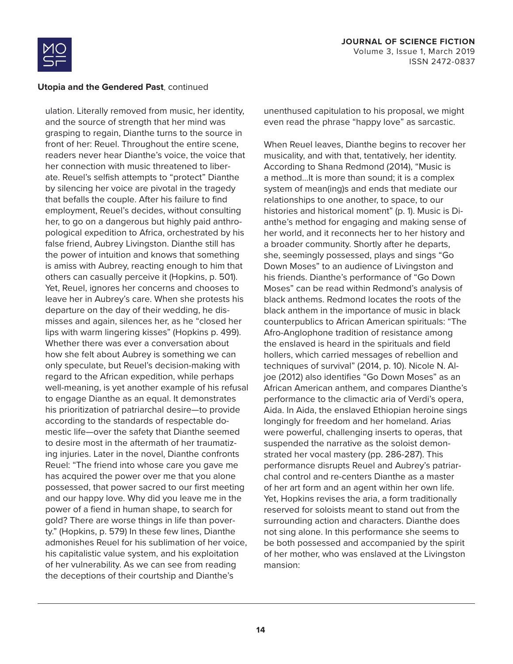

ulation. Literally removed from music, her identity, and the source of strength that her mind was grasping to regain, Dianthe turns to the source in front of her: Reuel. Throughout the entire scene, readers never hear Dianthe's voice, the voice that her connection with music threatened to liberate. Reuel's selfish attempts to "protect" Dianthe by silencing her voice are pivotal in the tragedy that befalls the couple. After his failure to find employment, Reuel's decides, without consulting her, to go on a dangerous but highly paid anthropological expedition to Africa, orchestrated by his false friend, Aubrey Livingston. Dianthe still has the power of intuition and knows that something is amiss with Aubrey, reacting enough to him that others can casually perceive it (Hopkins, p. 501). Yet, Reuel, ignores her concerns and chooses to leave her in Aubrey's care. When she protests his departure on the day of their wedding, he dismisses and again, silences her, as he "closed her lips with warm lingering kisses" (Hopkins p. 499). Whether there was ever a conversation about how she felt about Aubrey is something we can only speculate, but Reuel's decision-making with regard to the African expedition, while perhaps well-meaning, is yet another example of his refusal to engage Dianthe as an equal. It demonstrates his prioritization of patriarchal desire—to provide according to the standards of respectable domestic life—over the safety that Dianthe seemed to desire most in the aftermath of her traumatizing injuries. Later in the novel, Dianthe confronts Reuel: "The friend into whose care you gave me has acquired the power over me that you alone possessed, that power sacred to our first meeting and our happy love. Why did you leave me in the power of a fiend in human shape, to search for gold? There are worse things in life than poverty." (Hopkins, p. 579) In these few lines, Dianthe admonishes Reuel for his sublimation of her voice, his capitalistic value system, and his exploitation of her vulnerability. As we can see from reading the deceptions of their courtship and Dianthe's

unenthused capitulation to his proposal, we might even read the phrase "happy love" as sarcastic.

When Reuel leaves, Dianthe begins to recover her musicality, and with that, tentatively, her identity. According to Shana Redmond (2014), "Music is a method…It is more than sound; it is a complex system of mean(ing)s and ends that mediate our relationships to one another, to space, to our histories and historical moment" (p. 1). Music is Dianthe's method for engaging and making sense of her world, and it reconnects her to her history and a broader community. Shortly after he departs, she, seemingly possessed, plays and sings "Go Down Moses" to an audience of Livingston and his friends. Dianthe's performance of "Go Down Moses" can be read within Redmond's analysis of black anthems. Redmond locates the roots of the black anthem in the importance of music in black counterpublics to African American spirituals: "The Afro-Anglophone tradition of resistance among the enslaved is heard in the spirituals and field hollers, which carried messages of rebellion and techniques of survival" (2014, p. 10). Nicole N. Aljoe (2012) also identifies "Go Down Moses" as an African American anthem, and compares Dianthe's performance to the climactic aria of Verdi's opera, Aida. In Aida, the enslaved Ethiopian heroine sings longingly for freedom and her homeland. Arias were powerful, challenging inserts to operas, that suspended the narrative as the soloist demonstrated her vocal mastery (pp. 286-287). This performance disrupts Reuel and Aubrey's patriarchal control and re-centers Dianthe as a master of her art form and an agent within her own life. Yet, Hopkins revises the aria, a form traditionally reserved for soloists meant to stand out from the surrounding action and characters. Dianthe does not sing alone. In this performance she seems to be both possessed and accompanied by the spirit of her mother, who was enslaved at the Livingston mansion: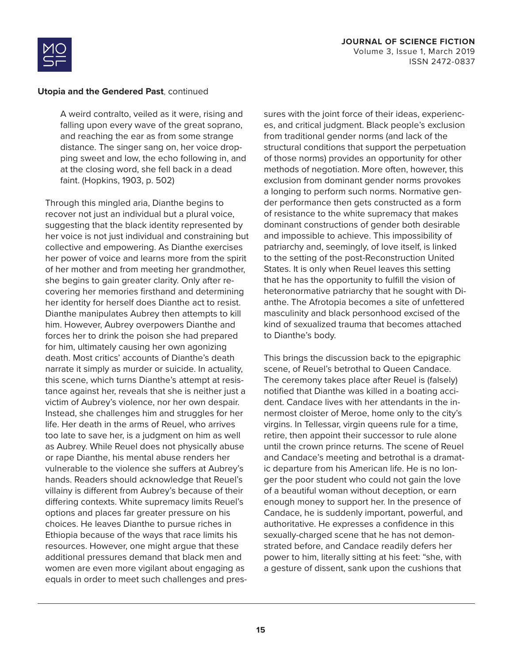

A weird contralto, veiled as it were, rising and falling upon every wave of the great soprano, and reaching the ear as from some strange distance. The singer sang on, her voice dropping sweet and low, the echo following in, and at the closing word, she fell back in a dead faint. (Hopkins, 1903, p. 502)

Through this mingled aria, Dianthe begins to recover not just an individual but a plural voice, suggesting that the black identity represented by her voice is not just individual and constraining but collective and empowering. As Dianthe exercises her power of voice and learns more from the spirit of her mother and from meeting her grandmother, she begins to gain greater clarity. Only after recovering her memories firsthand and determining her identity for herself does Dianthe act to resist. Dianthe manipulates Aubrey then attempts to kill him. However, Aubrey overpowers Dianthe and forces her to drink the poison she had prepared for him, ultimately causing her own agonizing death. Most critics' accounts of Dianthe's death narrate it simply as murder or suicide. In actuality, this scene, which turns Dianthe's attempt at resistance against her, reveals that she is neither just a victim of Aubrey's violence, nor her own despair. Instead, she challenges him and struggles for her life. Her death in the arms of Reuel, who arrives too late to save her, is a judgment on him as well as Aubrey. While Reuel does not physically abuse or rape Dianthe, his mental abuse renders her vulnerable to the violence she suffers at Aubrey's hands. Readers should acknowledge that Reuel's villainy is different from Aubrey's because of their differing contexts. White supremacy limits Reuel's options and places far greater pressure on his choices. He leaves Dianthe to pursue riches in Ethiopia because of the ways that race limits his resources. However, one might argue that these additional pressures demand that black men and women are even more vigilant about engaging as equals in order to meet such challenges and pressures with the joint force of their ideas, experiences, and critical judgment. Black people's exclusion from traditional gender norms (and lack of the structural conditions that support the perpetuation of those norms) provides an opportunity for other methods of negotiation. More often, however, this exclusion from dominant gender norms provokes a longing to perform such norms. Normative gender performance then gets constructed as a form of resistance to the white supremacy that makes dominant constructions of gender both desirable and impossible to achieve. This impossibility of patriarchy and, seemingly, of love itself, is linked to the setting of the post-Reconstruction United States. It is only when Reuel leaves this setting that he has the opportunity to fulfill the vision of heteronormative patriarchy that he sought with Dianthe. The Afrotopia becomes a site of unfettered masculinity and black personhood excised of the kind of sexualized trauma that becomes attached to Dianthe's body.

This brings the discussion back to the epigraphic scene, of Reuel's betrothal to Queen Candace. The ceremony takes place after Reuel is (falsely) notified that Dianthe was killed in a boating accident. Candace lives with her attendants in the innermost cloister of Meroe, home only to the city's virgins. In Tellessar, virgin queens rule for a time, retire, then appoint their successor to rule alone until the crown prince returns. The scene of Reuel and Candace's meeting and betrothal is a dramatic departure from his American life. He is no longer the poor student who could not gain the love of a beautiful woman without deception, or earn enough money to support her. In the presence of Candace, he is suddenly important, powerful, and authoritative. He expresses a confidence in this sexually-charged scene that he has not demonstrated before, and Candace readily defers her power to him, literally sitting at his feet: "she, with a gesture of dissent, sank upon the cushions that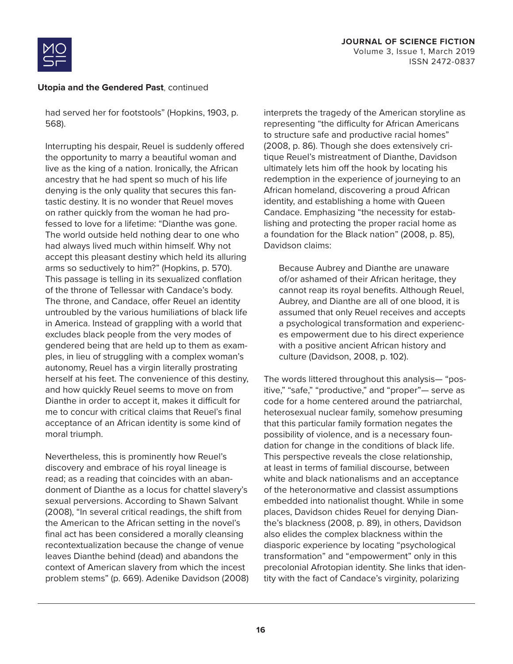

had served her for footstools" (Hopkins, 1903, p. 568).

Interrupting his despair, Reuel is suddenly offered the opportunity to marry a beautiful woman and live as the king of a nation. Ironically, the African ancestry that he had spent so much of his life denying is the only quality that secures this fantastic destiny. It is no wonder that Reuel moves on rather quickly from the woman he had professed to love for a lifetime: "Dianthe was gone. The world outside held nothing dear to one who had always lived much within himself. Why not accept this pleasant destiny which held its alluring arms so seductively to him?" (Hopkins, p. 570). This passage is telling in its sexualized conflation of the throne of Tellessar with Candace's body. The throne, and Candace, offer Reuel an identity untroubled by the various humiliations of black life in America. Instead of grappling with a world that excludes black people from the very modes of gendered being that are held up to them as examples, in lieu of struggling with a complex woman's autonomy, Reuel has a virgin literally prostrating herself at his feet. The convenience of this destiny, and how quickly Reuel seems to move on from Dianthe in order to accept it, makes it difficult for me to concur with critical claims that Reuel's final acceptance of an African identity is some kind of moral triumph.

Nevertheless, this is prominently how Reuel's discovery and embrace of his royal lineage is read; as a reading that coincides with an abandonment of Dianthe as a locus for chattel slavery's sexual perversions. According to Shawn Salvant (2008), "In several critical readings, the shift from the American to the African setting in the novel's final act has been considered a morally cleansing recontextualization because the change of venue leaves Dianthe behind (dead) and abandons the context of American slavery from which the incest problem stems" (p. 669). Adenike Davidson (2008) interprets the tragedy of the American storyline as representing "the difficulty for African Americans to structure safe and productive racial homes" (2008, p. 86). Though she does extensively critique Reuel's mistreatment of Dianthe, Davidson ultimately lets him off the hook by locating his redemption in the experience of journeying to an African homeland, discovering a proud African identity, and establishing a home with Queen Candace. Emphasizing "the necessity for establishing and protecting the proper racial home as a foundation for the Black nation" (2008, p. 85), Davidson claims:

Because Aubrey and Dianthe are unaware of/or ashamed of their African heritage, they cannot reap its royal benefits. Although Reuel, Aubrey, and Dianthe are all of one blood, it is assumed that only Reuel receives and accepts a psychological transformation and experiences empowerment due to his direct experience with a positive ancient African history and culture (Davidson, 2008, p. 102).

The words littered throughout this analysis— "positive," "safe," "productive," and "proper"— serve as code for a home centered around the patriarchal, heterosexual nuclear family, somehow presuming that this particular family formation negates the possibility of violence, and is a necessary foundation for change in the conditions of black life. This perspective reveals the close relationship, at least in terms of familial discourse, between white and black nationalisms and an acceptance of the heteronormative and classist assumptions embedded into nationalist thought. While in some places, Davidson chides Reuel for denying Dianthe's blackness (2008, p. 89), in others, Davidson also elides the complex blackness within the diasporic experience by locating "psychological transformation" and "empowerment" only in this precolonial Afrotopian identity. She links that identity with the fact of Candace's virginity, polarizing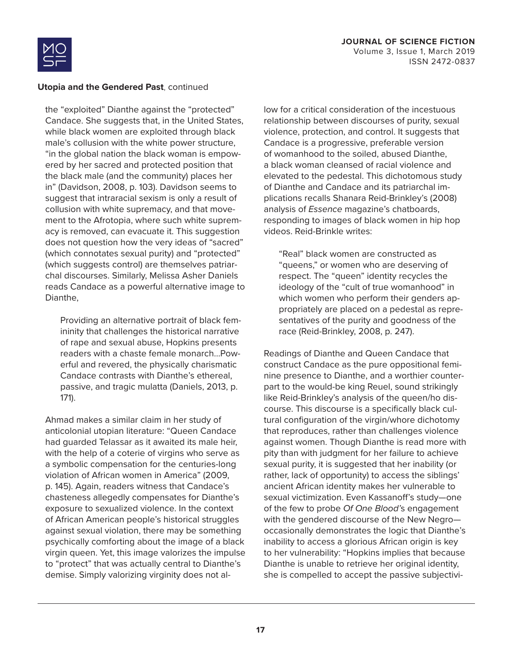



the "exploited" Dianthe against the "protected" Candace. She suggests that, in the United States, while black women are exploited through black male's collusion with the white power structure, "in the global nation the black woman is empowered by her sacred and protected position that the black male (and the community) places her in" (Davidson, 2008, p. 103). Davidson seems to suggest that intraracial sexism is only a result of collusion with white supremacy, and that movement to the Afrotopia, where such white supremacy is removed, can evacuate it. This suggestion does not question how the very ideas of "sacred" (which connotates sexual purity) and "protected" (which suggests control) are themselves patriarchal discourses. Similarly, Melissa Asher Daniels reads Candace as a powerful alternative image to Dianthe,

Providing an alternative portrait of black femininity that challenges the historical narrative of rape and sexual abuse, Hopkins presents readers with a chaste female monarch…Powerful and revered, the physically charismatic Candace contrasts with Dianthe's ethereal, passive, and tragic mulatta (Daniels, 2013, p. 171).

Ahmad makes a similar claim in her study of anticolonial utopian literature: "Queen Candace had guarded Telassar as it awaited its male heir, with the help of a coterie of virgins who serve as a symbolic compensation for the centuries-long violation of African women in America" (2009, p. 145). Again, readers witness that Candace's chasteness allegedly compensates for Dianthe's exposure to sexualized violence. In the context of African American people's historical struggles against sexual violation, there may be something psychically comforting about the image of a black virgin queen. Yet, this image valorizes the impulse to "protect" that was actually central to Dianthe's demise. Simply valorizing virginity does not allow for a critical consideration of the incestuous relationship between discourses of purity, sexual violence, protection, and control. It suggests that Candace is a progressive, preferable version of womanhood to the soiled, abused Dianthe, a black woman cleansed of racial violence and elevated to the pedestal. This dichotomous study of Dianthe and Candace and its patriarchal implications recalls Shanara Reid-Brinkley's (2008) analysis of *Essence* magazine's chatboards, responding to images of black women in hip hop videos. Reid-Brinkle writes:

"Real" black women are constructed as "queens," or women who are deserving of respect. The "queen" identity recycles the ideology of the "cult of true womanhood" in which women who perform their genders appropriately are placed on a pedestal as representatives of the purity and goodness of the race (Reid-Brinkley, 2008, p. 247).

Readings of Dianthe and Queen Candace that construct Candace as the pure oppositional feminine presence to Dianthe, and a worthier counterpart to the would-be king Reuel, sound strikingly like Reid-Brinkley's analysis of the queen/ho discourse. This discourse is a specifically black cultural configuration of the virgin/whore dichotomy that reproduces, rather than challenges violence against women. Though Dianthe is read more with pity than with judgment for her failure to achieve sexual purity, it is suggested that her inability (or rather, lack of opportunity) to access the siblings' ancient African identity makes her vulnerable to sexual victimization. Even Kassanoff's study—one of the few to probe *Of One Blood'*s engagement with the gendered discourse of the New Negro occasionally demonstrates the logic that Dianthe's inability to access a glorious African origin is key to her vulnerability: "Hopkins implies that because Dianthe is unable to retrieve her original identity, she is compelled to accept the passive subjectivi-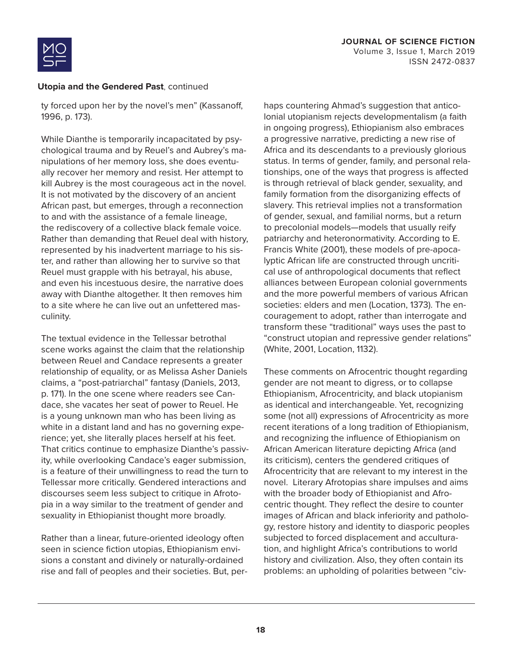

ty forced upon her by the novel's men" (Kassanoff, 1996, p. 173).

While Dianthe is temporarily incapacitated by psychological trauma and by Reuel's and Aubrey's manipulations of her memory loss, she does eventually recover her memory and resist. Her attempt to kill Aubrey is the most courageous act in the novel. It is not motivated by the discovery of an ancient African past, but emerges, through a reconnection to and with the assistance of a female lineage, the rediscovery of a collective black female voice. Rather than demanding that Reuel deal with history, represented by his inadvertent marriage to his sister, and rather than allowing her to survive so that Reuel must grapple with his betrayal, his abuse, and even his incestuous desire, the narrative does away with Dianthe altogether. It then removes him to a site where he can live out an unfettered masculinity.

The textual evidence in the Tellessar betrothal scene works against the claim that the relationship between Reuel and Candace represents a greater relationship of equality, or as Melissa Asher Daniels claims, a "post-patriarchal" fantasy (Daniels, 2013, p. 171). In the one scene where readers see Candace, she vacates her seat of power to Reuel. He is a young unknown man who has been living as white in a distant land and has no governing experience; yet, she literally places herself at his feet. That critics continue to emphasize Dianthe's passivity, while overlooking Candace's eager submission, is a feature of their unwillingness to read the turn to Tellessar more critically. Gendered interactions and discourses seem less subject to critique in Afrotopia in a way similar to the treatment of gender and sexuality in Ethiopianist thought more broadly.

Rather than a linear, future-oriented ideology often seen in science fiction utopias, Ethiopianism envisions a constant and divinely or naturally-ordained rise and fall of peoples and their societies. But, perhaps countering Ahmad's suggestion that anticolonial utopianism rejects developmentalism (a faith in ongoing progress), Ethiopianism also embraces a progressive narrative, predicting a new rise of Africa and its descendants to a previously glorious status. In terms of gender, family, and personal relationships, one of the ways that progress is affected is through retrieval of black gender, sexuality, and family formation from the disorganizing effects of slavery. This retrieval implies not a transformation of gender, sexual, and familial norms, but a return to precolonial models—models that usually reify patriarchy and heteronormativity. According to E. Francis White (2001), these models of pre-apocalyptic African life are constructed through uncritical use of anthropological documents that reflect alliances between European colonial governments and the more powerful members of various African societies: elders and men (Location, 1373). The encouragement to adopt, rather than interrogate and transform these "traditional" ways uses the past to "construct utopian and repressive gender relations" (White, 2001, Location, 1132).

These comments on Afrocentric thought regarding gender are not meant to digress, or to collapse Ethiopianism, Afrocentricity, and black utopianism as identical and interchangeable. Yet, recognizing some (not all) expressions of Afrocentricity as more recent iterations of a long tradition of Ethiopianism, and recognizing the influence of Ethiopianism on African American literature depicting Africa (and its criticism), centers the gendered critiques of Afrocentricity that are relevant to my interest in the novel. Literary Afrotopias share impulses and aims with the broader body of Ethiopianist and Afrocentric thought. They reflect the desire to counter images of African and black inferiority and pathology, restore history and identity to diasporic peoples subjected to forced displacement and acculturation, and highlight Africa's contributions to world history and civilization. Also, they often contain its problems: an upholding of polarities between "civ-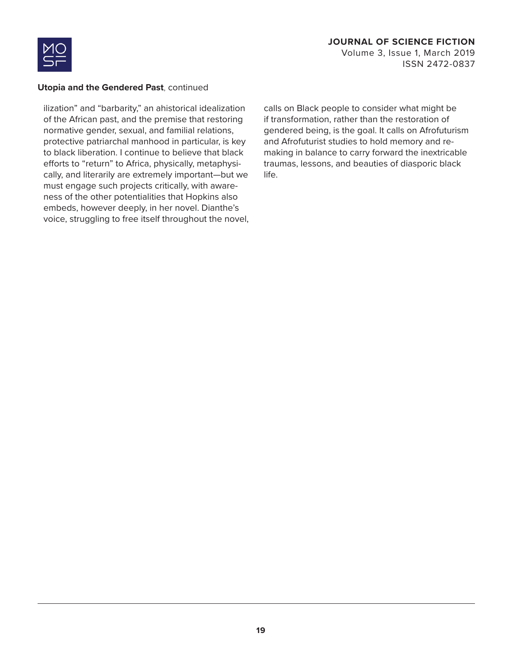

### **JOURNAL OF SCIENCE FICTION** Volume 3, Issue 1, March 2019 ISSN 2472-0837

#### **Utopia and the Gendered Past**, continued

ilization" and "barbarity," an ahistorical idealization of the African past, and the premise that restoring normative gender, sexual, and familial relations, protective patriarchal manhood in particular, is key to black liberation. I continue to believe that black efforts to "return" to Africa, physically, metaphysically, and literarily are extremely important—but we must engage such projects critically, with awareness of the other potentialities that Hopkins also embeds, however deeply, in her novel. Dianthe's voice, struggling to free itself throughout the novel, calls on Black people to consider what might be if transformation, rather than the restoration of gendered being, is the goal. It calls on Afrofuturism and Afrofuturist studies to hold memory and remaking in balance to carry forward the inextricable traumas, lessons, and beauties of diasporic black life.